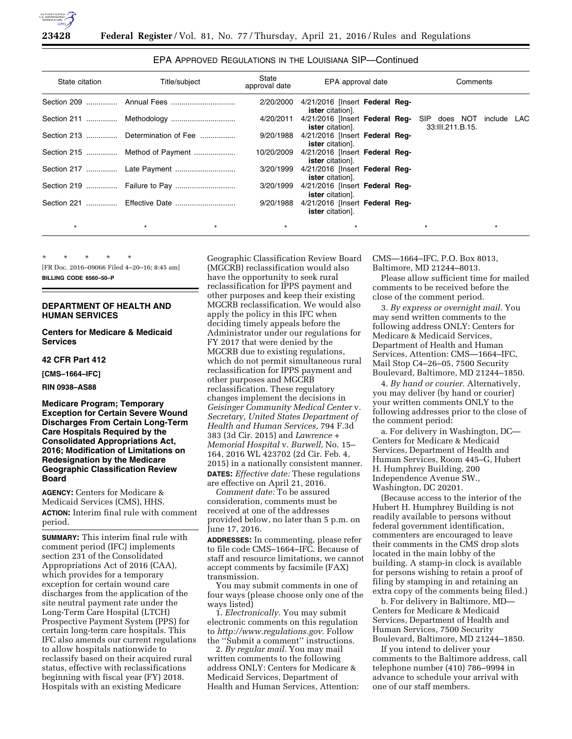

# EPA APPROVED REGULATIONS IN THE LOUISIANA SIP—Continued

| State citation | Title/subject                     | State<br>approval date | EPA approval date                                                      | Comments                            |
|----------------|-----------------------------------|------------------------|------------------------------------------------------------------------|-------------------------------------|
|                |                                   | 2/20/2000              | 4/21/2016 [Insert Federal Reg-<br><b>ister</b> citation].              |                                     |
|                |                                   | 4/20/2011              | 4/21/2016 [Insert Federal Reg- SIP does NOT<br><b>ister</b> citation]. | include<br>LAC.<br>33:III.211.B.15. |
|                | Section 213  Determination of Fee | 9/20/1988              | 4/21/2016 [Insert Federal Req-<br><b>ister</b> citation].              |                                     |
|                | Section 215  Method of Payment    | 10/20/2009             | 4/21/2016 [Insert Federal Req-<br><b>ister</b> citation].              |                                     |
|                |                                   | 3/20/1999              | 4/21/2016 [Insert Federal Reg-<br><b>ister</b> citation].              |                                     |
|                |                                   | 3/20/1999              | 4/21/2016 [Insert Federal Reg-<br><b>ister</b> citation].              |                                     |
|                |                                   | 9/20/1988              | 4/21/2016 [Insert Federal Reg-<br><b>ister</b> citation].              |                                     |
| $\star$        |                                   | $\star$                |                                                                        | $\star$                             |

\* \* \* \* \* [FR Doc. 2016–09066 Filed 4–20–16; 8:45 am] **BILLING CODE 6560–50–P** 

## **DEPARTMENT OF HEALTH AND HUMAN SERVICES**

**Centers for Medicare & Medicaid Services** 

## **42 CFR Part 412**

**[CMS–1664–IFC]** 

**RIN 0938–AS88** 

**Medicare Program; Temporary Exception for Certain Severe Wound Discharges From Certain Long-Term Care Hospitals Required by the Consolidated Appropriations Act, 2016; Modification of Limitations on Redesignation by the Medicare Geographic Classification Review Board** 

**AGENCY:** Centers for Medicare & Medicaid Services (CMS), HHS. **ACTION:** Interim final rule with comment period.

**SUMMARY:** This interim final rule with comment period (IFC) implements section 231 of the Consolidated Appropriations Act of 2016 (CAA), which provides for a temporary exception for certain wound care discharges from the application of the site neutral payment rate under the Long-Term Care Hospital (LTCH) Prospective Payment System (PPS) for certain long-term care hospitals. This IFC also amends our current regulations to allow hospitals nationwide to reclassify based on their acquired rural status, effective with reclassifications beginning with fiscal year (FY) 2018. Hospitals with an existing Medicare

Geographic Classification Review Board (MGCRB) reclassification would also have the opportunity to seek rural reclassification for IPPS payment and other purposes and keep their existing MGCRB reclassification. We would also apply the policy in this IFC when deciding timely appeals before the Administrator under our regulations for FY 2017 that were denied by the MGCRB due to existing regulations, which do not permit simultaneous rural reclassification for IPPS payment and other purposes and MGCRB reclassification. These regulatory changes implement the decisions in *Geisinger Community Medical Center* v. *Secretary, United States Department of Health and Human Services,* 794 F.3d 383 (3d Cir. 2015) and *Lawrence + Memorial Hospital* v. *Burwell,* No. 15– 164, 2016 WL 423702 (2d Cir. Feb. 4, 2015) in a nationally consistent manner. **DATES:** *Effective date:* These regulations are effective on April 21, 2016.

*Comment date:* To be assured consideration, comments must be received at one of the addresses provided below, no later than 5 p.m. on June 17, 2016.

**ADDRESSES:** In commenting, please refer to file code CMS–1664–IFC. Because of staff and resource limitations, we cannot accept comments by facsimile (FAX) transmission.

You may submit comments in one of four ways (please choose only one of the ways listed)

1. *Electronically.* You may submit electronic comments on this regulation to *[http://www.regulations.gov.](http://www.regulations.gov)* Follow the ''Submit a comment'' instructions.

2. *By regular mail.* You may mail written comments to the following address ONLY: Centers for Medicare & Medicaid Services, Department of Health and Human Services, Attention: CMS—1664–IFC, P.O. Box 8013, Baltimore, MD 21244–8013.

Please allow sufficient time for mailed comments to be received before the close of the comment period.

3. *By express or overnight mail.* You may send written comments to the following address ONLY: Centers for Medicare & Medicaid Services, Department of Health and Human Services, Attention: CMS—1664–IFC, Mail Stop C4–26–05, 7500 Security Boulevard, Baltimore, MD 21244–1850.

4. *By hand or courier.* Alternatively, you may deliver (by hand or courier) your written comments ONLY to the following addresses prior to the close of the comment period:

a. For delivery in Washington, DC— Centers for Medicare & Medicaid Services, Department of Health and Human Services, Room 445–G, Hubert H. Humphrey Building, 200 Independence Avenue SW., Washington, DC 20201.

(Because access to the interior of the Hubert H. Humphrey Building is not readily available to persons without federal government identification, commenters are encouraged to leave their comments in the CMS drop slots located in the main lobby of the building. A stamp-in clock is available for persons wishing to retain a proof of filing by stamping in and retaining an extra copy of the comments being filed.)

b. For delivery in Baltimore, MD— Centers for Medicare & Medicaid Services, Department of Health and Human Services, 7500 Security Boulevard, Baltimore, MD 21244–1850.

If you intend to deliver your comments to the Baltimore address, call telephone number (410) 786–9994 in advance to schedule your arrival with one of our staff members.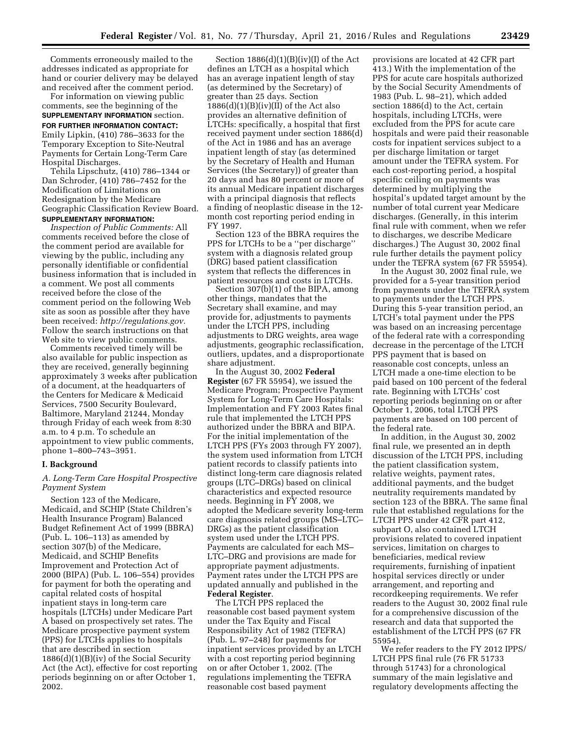Comments erroneously mailed to the addresses indicated as appropriate for hand or courier delivery may be delayed and received after the comment period.

For information on viewing public comments, see the beginning of the **SUPPLEMENTARY INFORMATION** section.

**FOR FURTHER INFORMATION CONTACT:**  Emily Lipkin, (410) 786–3633 for the Temporary Exception to Site-Neutral Payments for Certain Long-Term Care Hospital Discharges.

Tehila Lipschutz, (410) 786–1344 or Dan Schroder, (410) 786–7452 for the Modification of Limitations on Redesignation by the Medicare Geographic Classification Review Board. **SUPPLEMENTARY INFORMATION:** 

*Inspection of Public Comments:* All comments received before the close of the comment period are available for viewing by the public, including any personally identifiable or confidential business information that is included in a comment. We post all comments received before the close of the comment period on the following Web site as soon as possible after they have been received: *[http://regulations.gov.](http://regulations.gov)*  Follow the search instructions on that Web site to view public comments.

Comments received timely will be also available for public inspection as they are received, generally beginning approximately 3 weeks after publication of a document, at the headquarters of the Centers for Medicare & Medicaid Services, 7500 Security Boulevard, Baltimore, Maryland 21244, Monday through Friday of each week from 8:30 a.m. to 4 p.m. To schedule an appointment to view public comments, phone 1–800–743–3951.

#### **I. Background**

# *A. Long-Term Care Hospital Prospective Payment System*

Section 123 of the Medicare, Medicaid, and SCHIP (State Children's Health Insurance Program) Balanced Budget Refinement Act of 1999 (BBRA) (Pub. L. 106–113) as amended by section 307(b) of the Medicare, Medicaid, and SCHIP Benefits Improvement and Protection Act of 2000 (BIPA) (Pub. L. 106–554) provides for payment for both the operating and capital related costs of hospital inpatient stays in long-term care hospitals (LTCHs) under Medicare Part A based on prospectively set rates. The Medicare prospective payment system (PPS) for LTCHs applies to hospitals that are described in section 1886(d)(1)(B)(iv) of the Social Security Act (the Act), effective for cost reporting periods beginning on or after October 1, 2002.

Section 1886(d)(1)(B)(iv)(I) of the Act defines an LTCH as a hospital which has an average inpatient length of stay (as determined by the Secretary) of greater than 25 days. Section  $1886(d)(1)(B)(iv)(II)$  of the Act also provides an alternative definition of LTCHs: specifically, a hospital that first received payment under section 1886(d) of the Act in 1986 and has an average inpatient length of stay (as determined by the Secretary of Health and Human Services (the Secretary)) of greater than 20 days and has 80 percent or more of its annual Medicare inpatient discharges with a principal diagnosis that reflects a finding of neoplastic disease in the 12 month cost reporting period ending in FY 1997.

Section 123 of the BBRA requires the PPS for LTCHs to be a ''per discharge'' system with a diagnosis related group (DRG) based patient classification system that reflects the differences in patient resources and costs in LTCHs.

Section 307(b)(1) of the BIPA, among other things, mandates that the Secretary shall examine, and may provide for, adjustments to payments under the LTCH PPS, including adjustments to DRG weights, area wage adjustments, geographic reclassification, outliers, updates, and a disproportionate share adjustment.

In the August 30, 2002 **Federal Register** (67 FR 55954), we issued the Medicare Program; Prospective Payment System for Long-Term Care Hospitals: Implementation and FY 2003 Rates final rule that implemented the LTCH PPS authorized under the BBRA and BIPA. For the initial implementation of the LTCH PPS (FYs 2003 through FY 2007), the system used information from LTCH patient records to classify patients into distinct long-term care diagnosis related groups (LTC–DRGs) based on clinical characteristics and expected resource needs. Beginning in FY 2008, we adopted the Medicare severity long-term care diagnosis related groups (MS–LTC– DRGs) as the patient classification system used under the LTCH PPS. Payments are calculated for each MS– LTC–DRG and provisions are made for appropriate payment adjustments. Payment rates under the LTCH PPS are updated annually and published in the **Federal Register**.

The LTCH PPS replaced the reasonable cost based payment system under the Tax Equity and Fiscal Responsibility Act of 1982 (TEFRA) (Pub. L. 97–248) for payments for inpatient services provided by an LTCH with a cost reporting period beginning on or after October 1, 2002. (The regulations implementing the TEFRA reasonable cost based payment

provisions are located at 42 CFR part 413.) With the implementation of the PPS for acute care hospitals authorized by the Social Security Amendments of 1983 (Pub. L. 98–21), which added section 1886(d) to the Act, certain hospitals, including LTCHs, were excluded from the PPS for acute care hospitals and were paid their reasonable costs for inpatient services subject to a per discharge limitation or target amount under the TEFRA system. For each cost-reporting period, a hospital specific ceiling on payments was determined by multiplying the hospital's updated target amount by the number of total current year Medicare discharges. (Generally, in this interim final rule with comment, when we refer to discharges, we describe Medicare discharges.) The August 30, 2002 final rule further details the payment policy under the TEFRA system (67 FR 55954).

In the August 30, 2002 final rule, we provided for a 5-year transition period from payments under the TEFRA system to payments under the LTCH PPS. During this 5-year transition period, an LTCH's total payment under the PPS was based on an increasing percentage of the federal rate with a corresponding decrease in the percentage of the LTCH PPS payment that is based on reasonable cost concepts, unless an LTCH made a one-time election to be paid based on 100 percent of the federal rate. Beginning with LTCHs' cost reporting periods beginning on or after October 1, 2006, total LTCH PPS payments are based on 100 percent of the federal rate.

In addition, in the August 30, 2002 final rule, we presented an in depth discussion of the LTCH PPS, including the patient classification system, relative weights, payment rates, additional payments, and the budget neutrality requirements mandated by section 123 of the BBRA. The same final rule that established regulations for the LTCH PPS under 42 CFR part 412, subpart O, also contained LTCH provisions related to covered inpatient services, limitation on charges to beneficiaries, medical review requirements, furnishing of inpatient hospital services directly or under arrangement, and reporting and recordkeeping requirements. We refer readers to the August 30, 2002 final rule for a comprehensive discussion of the research and data that supported the establishment of the LTCH PPS (67 FR 55954).

We refer readers to the FY 2012 IPPS/ LTCH PPS final rule (76 FR 51733 through 51743) for a chronological summary of the main legislative and regulatory developments affecting the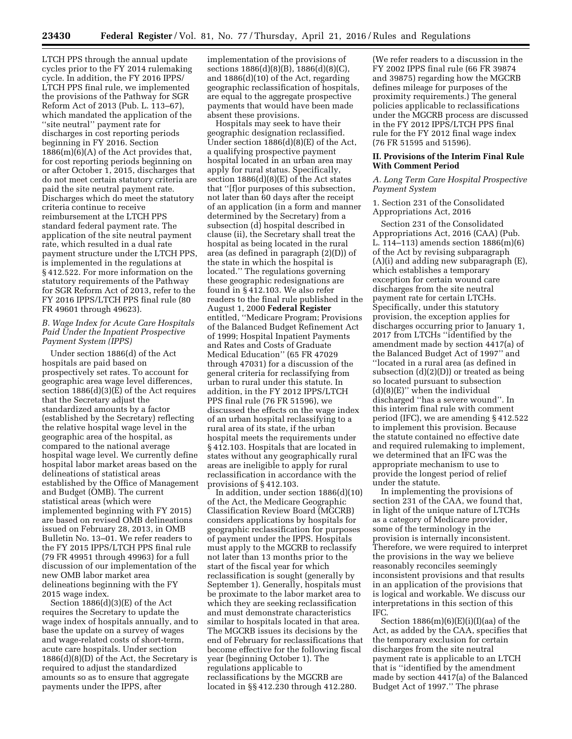LTCH PPS through the annual update cycles prior to the FY 2014 rulemaking cycle. In addition, the FY 2016 IPPS/ LTCH PPS final rule, we implemented the provisions of the Pathway for SGR Reform Act of 2013 (Pub. L. 113–67), which mandated the application of the ''site neutral'' payment rate for discharges in cost reporting periods beginning in FY 2016. Section 1886(m)(6)(A) of the Act provides that, for cost reporting periods beginning on or after October 1, 2015, discharges that do not meet certain statutory criteria are paid the site neutral payment rate. Discharges which do meet the statutory criteria continue to receive reimbursement at the LTCH PPS standard federal payment rate. The application of the site neutral payment rate, which resulted in a dual rate payment structure under the LTCH PPS, is implemented in the regulations at § 412.522. For more information on the statutory requirements of the Pathway for SGR Reform Act of 2013, refer to the FY 2016 IPPS/LTCH PPS final rule (80 FR 49601 through 49623).

# *B. Wage Index for Acute Care Hospitals Paid Under the Inpatient Prospective Payment System (IPPS)*

Under section 1886(d) of the Act hospitals are paid based on prospectively set rates. To account for geographic area wage level differences, section 1886(d)(3)(E) of the Act requires that the Secretary adjust the standardized amounts by a factor (established by the Secretary) reflecting the relative hospital wage level in the geographic area of the hospital, as compared to the national average hospital wage level. We currently define hospital labor market areas based on the delineations of statistical areas established by the Office of Management and Budget (OMB). The current statistical areas (which were implemented beginning with FY 2015) are based on revised OMB delineations issued on February 28, 2013, in OMB Bulletin No. 13–01. We refer readers to the FY 2015 IPPS/LTCH PPS final rule (79 FR 49951 through 49963) for a full discussion of our implementation of the new OMB labor market area delineations beginning with the FY 2015 wage index.

Section  $1886(d)(3)(E)$  of the Act requires the Secretary to update the wage index of hospitals annually, and to base the update on a survey of wages and wage-related costs of short-term, acute care hospitals. Under section 1886(d)(8)(D) of the Act, the Secretary is required to adjust the standardized amounts so as to ensure that aggregate payments under the IPPS, after

implementation of the provisions of sections 1886(d)(8)(B), 1886(d)(8)(C), and 1886(d)(10) of the Act, regarding geographic reclassification of hospitals, are equal to the aggregate prospective payments that would have been made absent these provisions.

Hospitals may seek to have their geographic designation reclassified. Under section 1886(d)(8)(E) of the Act, a qualifying prospective payment hospital located in an urban area may apply for rural status. Specifically, section  $1886(d)(8)(E)$  of the Act states that ''[f]or purposes of this subsection, not later than 60 days after the receipt of an application (in a form and manner determined by the Secretary) from a subsection (d) hospital described in clause (ii), the Secretary shall treat the hospital as being located in the rural area (as defined in paragraph (2)(D)) of the state in which the hospital is located.'' The regulations governing these geographic redesignations are found in § 412.103. We also refer readers to the final rule published in the August 1, 2000 **Federal Register**  entitled, ''Medicare Program; Provisions of the Balanced Budget Refinement Act of 1999; Hospital Inpatient Payments and Rates and Costs of Graduate Medical Education'' (65 FR 47029 through 47031) for a discussion of the general criteria for reclassifying from urban to rural under this statute. In addition, in the FY 2012 IPPS/LTCH PPS final rule (76 FR 51596), we discussed the effects on the wage index of an urban hospital reclassifying to a rural area of its state, if the urban hospital meets the requirements under § 412.103. Hospitals that are located in states without any geographically rural areas are ineligible to apply for rural reclassification in accordance with the provisions of § 412.103.

In addition, under section 1886(d)(10) of the Act, the Medicare Geographic Classification Review Board (MGCRB) considers applications by hospitals for geographic reclassification for purposes of payment under the IPPS. Hospitals must apply to the MGCRB to reclassify not later than 13 months prior to the start of the fiscal year for which reclassification is sought (generally by September 1). Generally, hospitals must be proximate to the labor market area to which they are seeking reclassification and must demonstrate characteristics similar to hospitals located in that area. The MGCRB issues its decisions by the end of February for reclassifications that become effective for the following fiscal year (beginning October 1). The regulations applicable to reclassifications by the MGCRB are located in §§ 412.230 through 412.280.

(We refer readers to a discussion in the FY 2002 IPPS final rule (66 FR 39874 and 39875) regarding how the MGCRB defines mileage for purposes of the proximity requirements.) The general policies applicable to reclassifications under the MGCRB process are discussed in the FY 2012 IPPS/LTCH PPS final rule for the FY 2012 final wage index (76 FR 51595 and 51596).

### **II. Provisions of the Interim Final Rule With Comment Period**

## *A. Long Term Care Hospital Prospective Payment System*

1. Section 231 of the Consolidated Appropriations Act, 2016

Section 231 of the Consolidated Appropriations Act, 2016 (CAA) (Pub. L. 114–113) amends section 1886(m)(6) of the Act by revising subparagraph (A)(i) and adding new subparagraph (E), which establishes a temporary exception for certain wound care discharges from the site neutral payment rate for certain LTCHs. Specifically, under this statutory provision, the exception applies for discharges occurring prior to January 1, 2017 from LTCHs ''identified by the amendment made by section 4417(a) of the Balanced Budget Act of 1997'' and ''located in a rural area (as defined in subsection (d)(2)(D)) or treated as being so located pursuant to subsection (d)(8)(E)'' when the individual discharged ''has a severe wound''. In this interim final rule with comment period (IFC), we are amending § 412.522 to implement this provision. Because the statute contained no effective date and required rulemaking to implement, we determined that an IFC was the appropriate mechanism to use to provide the longest period of relief under the statute.

In implementing the provisions of section 231 of the CAA, we found that, in light of the unique nature of LTCHs as a category of Medicare provider, some of the terminology in the provision is internally inconsistent. Therefore, we were required to interpret the provisions in the way we believe reasonably reconciles seemingly inconsistent provisions and that results in an application of the provisions that is logical and workable. We discuss our interpretations in this section of this IFC.

Section  $1886(m)(6)(E)(i)(I)(aa)$  of the Act, as added by the CAA, specifies that the temporary exclusion for certain discharges from the site neutral payment rate is applicable to an LTCH that is ''identified by the amendment made by section 4417(a) of the Balanced Budget Act of 1997.'' The phrase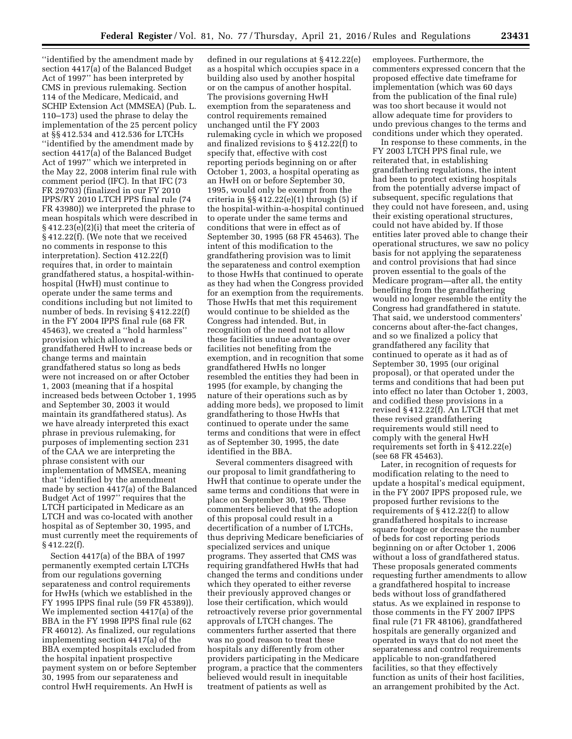''identified by the amendment made by section 4417(a) of the Balanced Budget Act of 1997'' has been interpreted by CMS in previous rulemaking. Section 114 of the Medicare, Medicaid, and SCHIP Extension Act (MMSEA) (Pub. L. 110–173) used the phrase to delay the implementation of the 25 percent policy at §§ 412.534 and 412.536 for LTCHs ''identified by the amendment made by section 4417(a) of the Balanced Budget Act of 1997'' which we interpreted in the May 22, 2008 interim final rule with comment period (IFC). In that IFC (73 FR 29703) (finalized in our FY 2010 IPPS/RY 2010 LTCH PPS final rule (74 FR 43980)) we interpreted the phrase to mean hospitals which were described in § 412.23(e)(2)(i) that meet the criteria of § 412.22(f). (We note that we received no comments in response to this interpretation). Section 412.22(f) requires that, in order to maintain grandfathered status, a hospital-withinhospital (HwH) must continue to operate under the same terms and conditions including but not limited to number of beds. In revising § 412.22(f) in the FY 2004 IPPS final rule (68 FR 45463), we created a ''hold harmless'' provision which allowed a grandfathered HwH to increase beds or change terms and maintain grandfathered status so long as beds were not increased on or after October 1, 2003 (meaning that if a hospital increased beds between October 1, 1995 and September 30, 2003 it would maintain its grandfathered status). As we have already interpreted this exact phrase in previous rulemaking, for purposes of implementing section 231 of the CAA we are interpreting the phrase consistent with our implementation of MMSEA, meaning that ''identified by the amendment made by section 4417(a) of the Balanced Budget Act of 1997'' requires that the LTCH participated in Medicare as an LTCH and was co-located with another hospital as of September 30, 1995, and must currently meet the requirements of § 412.22(f).

Section 4417(a) of the BBA of 1997 permanently exempted certain LTCHs from our regulations governing separateness and control requirements for HwHs (which we established in the FY 1995 IPPS final rule (59 FR 45389)). We implemented section 4417(a) of the BBA in the FY 1998 IPPS final rule (62 FR 46012). As finalized, our regulations implementing section 4417(a) of the BBA exempted hospitals excluded from the hospital inpatient prospective payment system on or before September 30, 1995 from our separateness and control HwH requirements. An HwH is

defined in our regulations at § 412.22(e) as a hospital which occupies space in a building also used by another hospital or on the campus of another hospital. The provisions governing HwH exemption from the separateness and control requirements remained unchanged until the FY 2003 rulemaking cycle in which we proposed and finalized revisions to § 412.22(f) to specify that, effective with cost reporting periods beginning on or after October 1, 2003, a hospital operating as an HwH on or before September 30, 1995, would only be exempt from the criteria in  $\S$  412.22(e)(1) through (5) if the hospital-within-a-hospital continued to operate under the same terms and conditions that were in effect as of September 30, 1995 (68 FR 45463). The intent of this modification to the grandfathering provision was to limit the separateness and control exemption to those HwHs that continued to operate as they had when the Congress provided for an exemption from the requirements. Those HwHs that met this requirement would continue to be shielded as the Congress had intended. But, in recognition of the need not to allow these facilities undue advantage over facilities not benefiting from the exemption, and in recognition that some grandfathered HwHs no longer resembled the entities they had been in 1995 (for example, by changing the nature of their operations such as by adding more beds), we proposed to limit grandfathering to those HwHs that continued to operate under the same terms and conditions that were in effect as of September 30, 1995, the date identified in the BBA.

Several commenters disagreed with our proposal to limit grandfathering to HwH that continue to operate under the same terms and conditions that were in place on September 30, 1995. These commenters believed that the adoption of this proposal could result in a decertification of a number of LTCHs, thus depriving Medicare beneficiaries of specialized services and unique programs. They asserted that CMS was requiring grandfathered HwHs that had changed the terms and conditions under which they operated to either reverse their previously approved changes or lose their certification, which would retroactively reverse prior governmental approvals of LTCH changes. The commenters further asserted that there was no good reason to treat these hospitals any differently from other providers participating in the Medicare program, a practice that the commenters believed would result in inequitable treatment of patients as well as

employees. Furthermore, the commenters expressed concern that the proposed effective date timeframe for implementation (which was 60 days from the publication of the final rule) was too short because it would not allow adequate time for providers to undo previous changes to the terms and conditions under which they operated.

In response to these comments, in the FY 2003 LTCH PPS final rule, we reiterated that, in establishing grandfathering regulations, the intent had been to protect existing hospitals from the potentially adverse impact of subsequent, specific regulations that they could not have foreseen, and, using their existing operational structures, could not have abided by. If those entities later proved able to change their operational structures, we saw no policy basis for not applying the separateness and control provisions that had since proven essential to the goals of the Medicare program—after all, the entity benefiting from the grandfathering would no longer resemble the entity the Congress had grandfathered in statute. That said, we understood commenters' concerns about after-the-fact changes, and so we finalized a policy that grandfathered any facility that continued to operate as it had as of September 30, 1995 (our original proposal), or that operated under the terms and conditions that had been put into effect no later than October 1, 2003, and codified these provisions in a revised § 412.22(f). An LTCH that met these revised grandfathering requirements would still need to comply with the general HwH requirements set forth in § 412.22(e) (see 68 FR 45463).

Later, in recognition of requests for modification relating to the need to update a hospital's medical equipment, in the FY 2007 IPPS proposed rule, we proposed further revisions to the requirements of § 412.22(f) to allow grandfathered hospitals to increase square footage or decrease the number of beds for cost reporting periods beginning on or after October 1, 2006 without a loss of grandfathered status. These proposals generated comments requesting further amendments to allow a grandfathered hospital to increase beds without loss of grandfathered status. As we explained in response to those comments in the FY 2007 IPPS final rule (71 FR 48106), grandfathered hospitals are generally organized and operated in ways that do not meet the separateness and control requirements applicable to non-grandfathered facilities, so that they effectively function as units of their host facilities, an arrangement prohibited by the Act.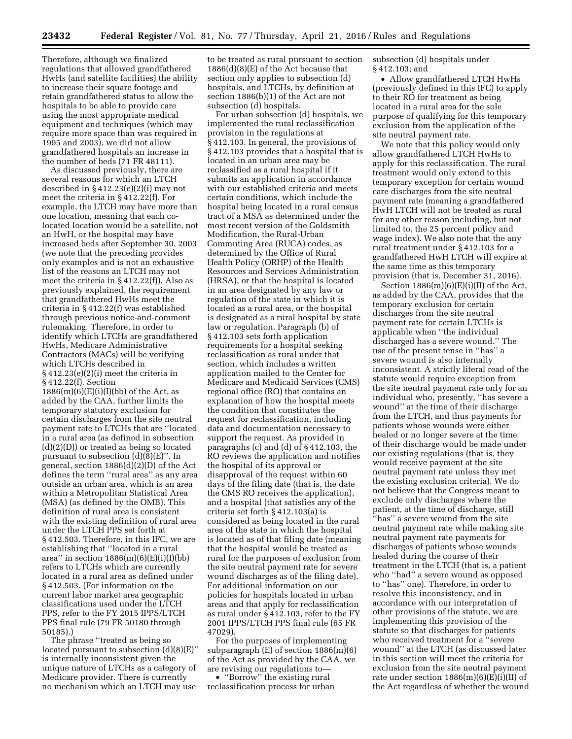Therefore, although we finalized regulations that allowed grandfathered HwHs (and satellite facilities) the ability to increase their square footage and retain grandfathered status to allow the hospitals to be able to provide care using the most appropriate medical equipment and techniques (which may require more space than was required in 1995 and 2003), we did not allow grandfathered hospitals an increase in the number of beds (71 FR 48111).

As discussed previously, there are several reasons for which an LTCH described in § 412.23(e)(2)(i) may not meet the criteria in § 412.22(f). For example, the LTCH may have more than one location, meaning that each colocated location would be a satellite, not an HwH, or the hospital may have increased beds after September 30, 2003 (we note that the preceding provides only examples and is not an exhaustive list of the reasons an LTCH may not meet the criteria in § 412.22(f)). Also as previously explained, the requirement that grandfathered HwHs meet the criteria in § 412.22(f) was established through previous notice-and-comment rulemaking. Therefore, in order to identify which LTCHs are grandfathered HwHs, Medicare Administrative Contractors (MACs) will be verifying which LTCHs described in § 412.23(e)(2)(i) meet the criteria in § 412.22(f). Section

 $1886(m)(6)(E)(i)(I)(bb)$  of the Act, as added by the CAA, further limits the temporary statutory exclusion for certain discharges from the site neutral payment rate to LTCHs that are ''located in a rural area (as defined in subsection (d)(2)(D)) or treated as being so located pursuant to subsection  $(d)(8)(E)$ ". In general, section 1886(d)(2)(D) of the Act defines the term ''rural area'' as any area outside an urban area, which is an area within a Metropolitan Statistical Area (MSA) (as defined by the OMB). This definition of rural area is consistent with the existing definition of rural area under the LTCH PPS set forth at § 412.503. Therefore, in this IFC, we are establishing that ''located in a rural area'' in section  $1886(m)(6)(E)(i)(I)(bb)$ refers to LTCHs which are currently located in a rural area as defined under § 412.503. (For information on the current labor market area geographic classifications used under the LTCH PPS, refer to the FY 2015 IPPS/LTCH PPS final rule (79 FR 50180 through 50185).)

The phrase ''treated as being so located pursuant to subsection (d)(8)(E)'' is internally inconsistent given the unique nature of LTCHs as a category of Medicare provider. There is currently no mechanism which an LTCH may use

to be treated as rural pursuant to section 1886(d)(8)(E) of the Act because that section only applies to subsection (d) hospitals, and LTCHs, by definition at section 1886(b)(1) of the Act are not subsection (d) hospitals.

For urban subsection (d) hospitals, we implemented the rural reclassification provision in the regulations at § 412.103. In general, the provisions of § 412.103 provides that a hospital that is located in an urban area may be reclassified as a rural hospital if it submits an application in accordance with our established criteria and meets certain conditions, which include the hospital being located in a rural census tract of a MSA as determined under the most recent version of the Goldsmith Modification, the Rural-Urban Commuting Area (RUCA) codes, as determined by the Office of Rural Health Policy (ORHP) of the Health Resources and Services Administration (HRSA), or that the hospital is located in an area designated by any law or regulation of the state in which it is located as a rural area, or the hospital is designated as a rural hospital by state law or regulation. Paragraph (b) of § 412.103 sets forth application requirements for a hospital seeking reclassification as rural under that section, which includes a written application mailed to the Center for Medicare and Medicaid Services (CMS) regional office (RO) that contains an explanation of how the hospital meets the condition that constitutes the request for reclassification, including data and documentation necessary to support the request. As provided in paragraphs (c) and (d) of § 412.103, the RO reviews the application and notifies the hospital of its approval or disapproval of the request within 60 days of the filing date (that is, the date the CMS RO receives the application), and a hospital (that satisfies any of the criteria set forth § 412.103(a) is considered as being located in the rural area of the state in which the hospital is located as of that filing date (meaning that the hospital would be treated as rural for the purposes of exclusion from the site neutral payment rate for severe wound discharges as of the filing date). For additional information on our policies for hospitals located in urban areas and that apply for reclassification as rural under § 412.103, refer to the FY 2001 IPPS/LTCH PPS final rule (65 FR 47029).

For the purposes of implementing subparagraph (E) of section 1886(m)(6) of the Act as provided by the CAA, we are revising our regulations to—

• "Borrow" the existing rural reclassification process for urban subsection (d) hospitals under § 412.103; and

• Allow grandfathered LTCH HwHs (previously defined in this IFC) to apply to their RO for treatment as being located in a rural area for the sole purpose of qualifying for this temporary exclusion from the application of the site neutral payment rate.

We note that this policy would only allow grandfathered LTCH HwHs to apply for this reclassification. The rural treatment would only extend to this temporary exception for certain wound care discharges from the site neutral payment rate (meaning a grandfathered HwH LTCH will not be treated as rural for any other reason including, but not limited to, the 25 percent policy and wage index). We also note that the any rural treatment under § 412.103 for a grandfathered HwH LTCH will expire at the same time as this temporary provision (that is, December 31, 2016).

Section  $1886(m)(6)(E)(i)(II)$  of the Act, as added by the CAA, provides that the temporary exclusion for certain discharges from the site neutral payment rate for certain LTCHs is applicable when ''the individual discharged has a severe wound.'' The use of the present tense in ''has'' a severe wound is also internally inconsistent. A strictly literal read of the statute would require exception from the site neutral payment rate only for an individual who, presently, ''has severe a wound'' at the time of their discharge from the LTCH, and thus payments for patients whose wounds were either healed or no longer severe at the time of their discharge would be made under our existing regulations (that is, they would receive payment at the site neutral payment rate unless they met the existing exclusion criteria). We do not believe that the Congress meant to exclude only discharges where the patient, at the time of discharge, still ''has'' a severe wound from the site neutral payment rate while making site neutral payment rate payments for discharges of patients whose wounds healed during the course of their treatment in the LTCH (that is, a patient who ''had'' a severe wound as opposed to ''has'' one). Therefore, in order to resolve this inconsistency, and in accordance with our interpretation of other provisions of the statute, we are implementing this provision of the statute so that discharges for patients who received treatment for a ''severe wound'' at the LTCH (as discussed later in this section will meet the criteria for exclusion from the site neutral payment rate under section  $1886(m)(6)(E)(i)(II)$  of the Act regardless of whether the wound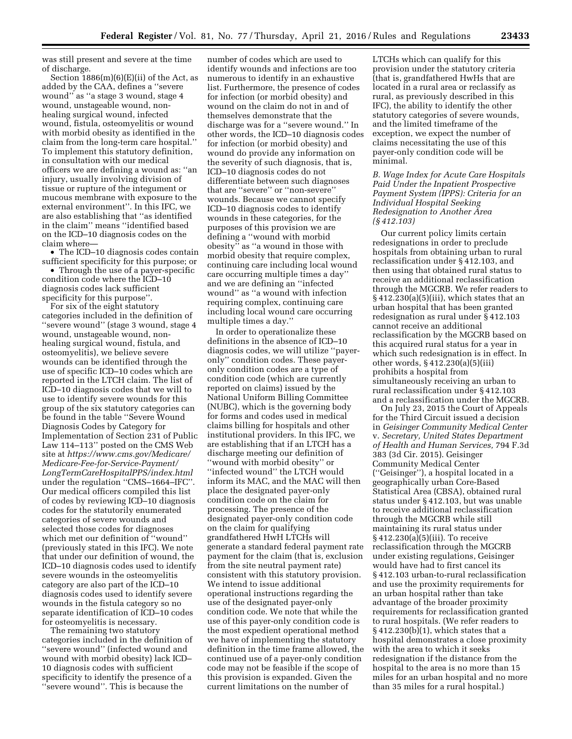was still present and severe at the time of discharge.

Section 1886(m)(6)(E)(ii) of the Act, as added by the CAA, defines a ''severe wound'' as ''a stage 3 wound, stage 4 wound, unstageable wound, nonhealing surgical wound, infected wound, fistula, osteomyelitis or wound with morbid obesity as identified in the claim from the long-term care hospital.'' To implement this statutory definition, in consultation with our medical officers we are defining a wound as: ''an injury, usually involving division of tissue or rupture of the integument or mucous membrane with exposure to the external environment''. In this IFC, we are also establishing that ''as identified in the claim'' means ''identified based on the ICD–10 diagnosis codes on the claim where—

• The ICD–10 diagnosis codes contain sufficient specificity for this purpose; or

• Through the use of a payer-specific condition code where the ICD–10 diagnosis codes lack sufficient specificity for this purpose''.

For six of the eight statutory categories included in the definition of ''severe wound'' (stage 3 wound, stage 4 wound, unstageable wound, nonhealing surgical wound, fistula, and osteomyelitis), we believe severe wounds can be identified through the use of specific ICD–10 codes which are reported in the LTCH claim. The list of ICD–10 diagnosis codes that we will to use to identify severe wounds for this group of the six statutory categories can be found in the table ''Severe Wound Diagnosis Codes by Category for Implementation of Section 231 of Public Law 114–113'' posted on the CMS Web site at *[https://www.cms.gov/Medicare/](https://www.cms.gov/Medicare/Medicare-Fee-for-Service-Payment/LongTermCareHospitalPPS/index.html) [Medicare-Fee-for-Service-Payment/](https://www.cms.gov/Medicare/Medicare-Fee-for-Service-Payment/LongTermCareHospitalPPS/index.html) [LongTermCareHospitalPPS/index.html](https://www.cms.gov/Medicare/Medicare-Fee-for-Service-Payment/LongTermCareHospitalPPS/index.html)*  under the regulation ''CMS–1664–IFC''. Our medical officers compiled this list of codes by reviewing ICD–10 diagnosis codes for the statutorily enumerated categories of severe wounds and selected those codes for diagnoses which met our definition of ''wound'' (previously stated in this IFC). We note that under our definition of wound, the ICD–10 diagnosis codes used to identify severe wounds in the osteomyelitis category are also part of the ICD–10 diagnosis codes used to identify severe wounds in the fistula category so no separate identification of ICD–10 codes for osteomyelitis is necessary.

The remaining two statutory categories included in the definition of ''severe wound'' (infected wound and wound with morbid obesity) lack ICD– 10 diagnosis codes with sufficient specificity to identify the presence of a ''severe wound''. This is because the

number of codes which are used to identify wounds and infections are too numerous to identify in an exhaustive list. Furthermore, the presence of codes for infection (or morbid obesity) and wound on the claim do not in and of themselves demonstrate that the discharge was for a ''severe wound.'' In other words, the ICD–10 diagnosis codes for infection (or morbid obesity) and wound do provide any information on the severity of such diagnosis, that is, ICD–10 diagnosis codes do not differentiate between such diagnoses that are ''severe'' or ''non-severe'' wounds. Because we cannot specify ICD–10 diagnosis codes to identify wounds in these categories, for the purposes of this provision we are defining a ''wound with morbid obesity'' as ''a wound in those with morbid obesity that require complex, continuing care including local wound care occurring multiple times a day'' and we are defining an ''infected wound'' as ''a wound with infection requiring complex, continuing care including local wound care occurring multiple times a day.''

In order to operationalize these definitions in the absence of ICD–10 diagnosis codes, we will utilize ''payeronly'' condition codes. These payeronly condition codes are a type of condition code (which are currently reported on claims) issued by the National Uniform Billing Committee (NUBC), which is the governing body for forms and codes used in medical claims billing for hospitals and other institutional providers. In this IFC, we are establishing that if an LTCH has a discharge meeting our definition of ''wound with morbid obesity'' or ''infected wound'' the LTCH would inform its MAC, and the MAC will then place the designated payer-only condition code on the claim for processing. The presence of the designated payer-only condition code on the claim for qualifying grandfathered HwH LTCHs will generate a standard federal payment rate payment for the claim (that is, exclusion from the site neutral payment rate) consistent with this statutory provision. We intend to issue additional operational instructions regarding the use of the designated payer-only condition code. We note that while the use of this payer-only condition code is the most expedient operational method we have of implementing the statutory definition in the time frame allowed, the continued use of a payer-only condition code may not be feasible if the scope of this provision is expanded. Given the current limitations on the number of

LTCHs which can qualify for this provision under the statutory criteria (that is, grandfathered HwHs that are located in a rural area or reclassify as rural, as previously described in this IFC), the ability to identify the other statutory categories of severe wounds, and the limited timeframe of the exception, we expect the number of claims necessitating the use of this payer-only condition code will be minimal.

*B. Wage Index for Acute Care Hospitals Paid Under the Inpatient Prospective Payment System (IPPS): Criteria for an Individual Hospital Seeking Redesignation to Another Area (§ 412.103)* 

Our current policy limits certain redesignations in order to preclude hospitals from obtaining urban to rural reclassification under § 412.103, and then using that obtained rural status to receive an additional reclassification through the MGCRB. We refer readers to  $§ 412.230(a)(5)(iii)$ , which states that an urban hospital that has been granted redesignation as rural under § 412.103 cannot receive an additional reclassification by the MGCRB based on this acquired rural status for a year in which such redesignation is in effect. In other words, § 412.230(a)(5)(iii) prohibits a hospital from simultaneously receiving an urban to rural reclassification under § 412.103 and a reclassification under the MGCRB.

On July 23, 2015 the Court of Appeals for the Third Circuit issued a decision in *Geisinger Community Medical Center*  v. *Secretary, United States Department of Health and Human Services,* 794 F.3d 383 (3d Cir. 2015). Geisinger Community Medical Center (''Geisinger''), a hospital located in a geographically urban Core-Based Statistical Area (CBSA), obtained rural status under § 412.103, but was unable to receive additional reclassification through the MGCRB while still maintaining its rural status under § 412.230(a)(5)(iii). To receive reclassification through the MGCRB under existing regulations, Geisinger would have had to first cancel its § 412.103 urban-to-rural reclassification and use the proximity requirements for an urban hospital rather than take advantage of the broader proximity requirements for reclassification granted to rural hospitals. (We refer readers to § 412.230(b)(1), which states that a hospital demonstrates a close proximity with the area to which it seeks redesignation if the distance from the hospital to the area is no more than 15 miles for an urban hospital and no more than 35 miles for a rural hospital.)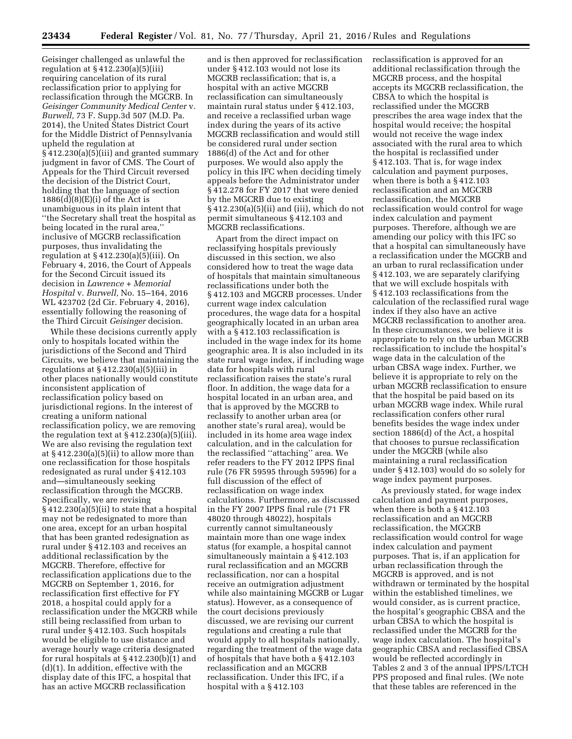Geisinger challenged as unlawful the regulation at § 412.230(a)(5)(iii) requiring cancelation of its rural reclassification prior to applying for reclassification through the MGCRB. In *Geisinger Community Medical Center* v. *Burwell,* 73 F. Supp.3d 507 (M.D. Pa. 2014), the United States District Court for the Middle District of Pennsylvania upheld the regulation at  $\frac{2412.230(a)(5)(iii)}{3}$  and granted summary judgment in favor of CMS. The Court of Appeals for the Third Circuit reversed the decision of the District Court, holding that the language of section  $1886(d)(8)(E)(i)$  of the Act is unambiguous in its plain intent that ''the Secretary shall treat the hospital as being located in the rural area,'' inclusive of MGCRB reclassification purposes, thus invalidating the regulation at § 412.230(a)(5)(iii). On February 4, 2016, the Court of Appeals for the Second Circuit issued its decision in *Lawrence + Memorial Hospital* v. *Burwell,* No. 15–164, 2016 WL 423702 (2d Cir. February 4, 2016), essentially following the reasoning of the Third Circuit *Geisinger* decision.

While these decisions currently apply only to hospitals located within the jurisdictions of the Second and Third Circuits, we believe that maintaining the regulations at  $\S 412.230(a)(5)(iii)$  in other places nationally would constitute inconsistent application of reclassification policy based on jurisdictional regions. In the interest of creating a uniform national reclassification policy, we are removing the regulation text at  $\S 412.230(a)(5)(iii)$ . We are also revising the regulation text at § 412.230(a)(5)(ii) to allow more than one reclassification for those hospitals redesignated as rural under § 412.103 and—simultaneously seeking reclassification through the MGCRB. Specifically, we are revising § 412.230(a)(5)(ii) to state that a hospital may not be redesignated to more than one area, except for an urban hospital that has been granted redesignation as rural under § 412.103 and receives an additional reclassification by the MGCRB. Therefore, effective for reclassification applications due to the MGCRB on September 1, 2016, for reclassification first effective for FY 2018, a hospital could apply for a reclassification under the MGCRB while still being reclassified from urban to rural under § 412.103. Such hospitals would be eligible to use distance and average hourly wage criteria designated for rural hospitals at § 412.230(b)(1) and (d)(1). In addition, effective with the display date of this IFC, a hospital that has an active MGCRB reclassification

and is then approved for reclassification under § 412.103 would not lose its MGCRB reclassification; that is, a hospital with an active MGCRB reclassification can simultaneously maintain rural status under § 412.103, and receive a reclassified urban wage index during the years of its active MGCRB reclassification and would still be considered rural under section 1886(d) of the Act and for other purposes. We would also apply the policy in this IFC when deciding timely appeals before the Administrator under § 412.278 for FY 2017 that were denied by the MGCRB due to existing § 412.230(a)(5)(ii) and (iii), which do not permit simultaneous § 412.103 and MGCRB reclassifications.

Apart from the direct impact on reclassifying hospitals previously discussed in this section, we also considered how to treat the wage data of hospitals that maintain simultaneous reclassifications under both the § 412.103 and MGCRB processes. Under current wage index calculation procedures, the wage data for a hospital geographically located in an urban area with a § 412.103 reclassification is included in the wage index for its home geographic area. It is also included in its state rural wage index, if including wage data for hospitals with rural reclassification raises the state's rural floor. In addition, the wage data for a hospital located in an urban area, and that is approved by the MGCRB to reclassify to another urban area (or another state's rural area), would be included in its home area wage index calculation, and in the calculation for the reclassified ''attaching'' area. We refer readers to the FY 2012 IPPS final rule (76 FR 59595 through 59596) for a full discussion of the effect of reclassification on wage index calculations. Furthermore, as discussed in the FY 2007 IPPS final rule (71 FR 48020 through 48022), hospitals currently cannot simultaneously maintain more than one wage index status (for example, a hospital cannot simultaneously maintain a § 412.103 rural reclassification and an MGCRB reclassification, nor can a hospital receive an outmigration adjustment while also maintaining MGCRB or Lugar status). However, as a consequence of the court decisions previously discussed, we are revising our current regulations and creating a rule that would apply to all hospitals nationally, regarding the treatment of the wage data of hospitals that have both a § 412.103 reclassification and an MGCRB reclassification. Under this IFC, if a hospital with a § 412.103

reclassification is approved for an additional reclassification through the MGCRB process, and the hospital accepts its MGCRB reclassification, the CBSA to which the hospital is reclassified under the MGCRB prescribes the area wage index that the hospital would receive; the hospital would not receive the wage index associated with the rural area to which the hospital is reclassified under § 412.103. That is, for wage index calculation and payment purposes, when there is both a § 412.103 reclassification and an MGCRB reclassification, the MGCRB reclassification would control for wage index calculation and payment purposes. Therefore, although we are amending our policy with this IFC so that a hospital can simultaneously have a reclassification under the MGCRB and an urban to rural reclassification under § 412.103, we are separately clarifying that we will exclude hospitals with § 412.103 reclassifications from the calculation of the reclassified rural wage index if they also have an active MGCRB reclassification to another area. In these circumstances, we believe it is appropriate to rely on the urban MGCRB reclassification to include the hospital's wage data in the calculation of the urban CBSA wage index. Further, we believe it is appropriate to rely on the urban MGCRB reclassification to ensure that the hospital be paid based on its urban MGCRB wage index. While rural reclassification confers other rural benefits besides the wage index under section 1886(d) of the Act, a hospital that chooses to pursue reclassification under the MGCRB (while also maintaining a rural reclassification under § 412.103) would do so solely for wage index payment purposes.

As previously stated, for wage index calculation and payment purposes, when there is both a § 412.103 reclassification and an MGCRB reclassification, the MGCRB reclassification would control for wage index calculation and payment purposes. That is, if an application for urban reclassification through the MGCRB is approved, and is not withdrawn or terminated by the hospital within the established timelines, we would consider, as is current practice, the hospital's geographic CBSA and the urban CBSA to which the hospital is reclassified under the MGCRB for the wage index calculation. The hospital's geographic CBSA and reclassified CBSA would be reflected accordingly in Tables 2 and 3 of the annual IPPS/LTCH PPS proposed and final rules. (We note that these tables are referenced in the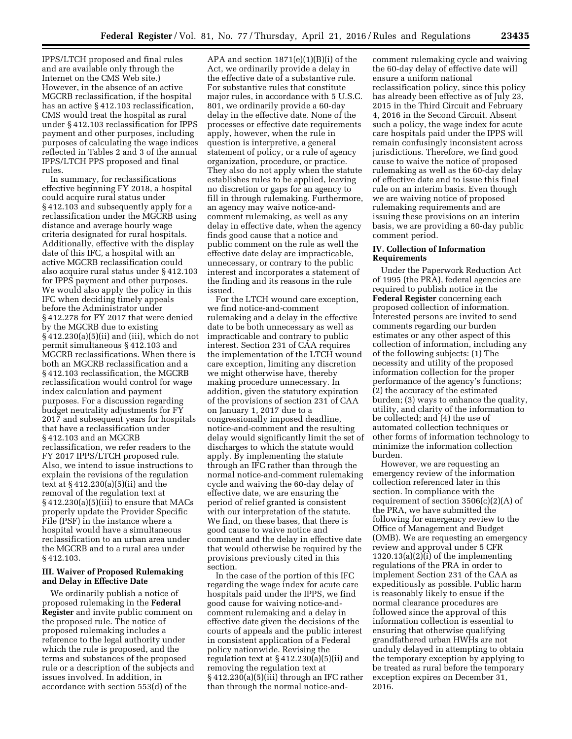IPPS/LTCH proposed and final rules and are available only through the Internet on the CMS Web site.) However, in the absence of an active MGCRB reclassification, if the hospital has an active § 412.103 reclassification, CMS would treat the hospital as rural under § 412.103 reclassification for IPPS payment and other purposes, including purposes of calculating the wage indices reflected in Tables 2 and 3 of the annual IPPS/LTCH PPS proposed and final rules.

In summary, for reclassifications effective beginning FY 2018, a hospital could acquire rural status under § 412.103 and subsequently apply for a reclassification under the MGCRB using distance and average hourly wage criteria designated for rural hospitals. Additionally, effective with the display date of this IFC, a hospital with an active MGCRB reclassification could also acquire rural status under § 412.103 for IPPS payment and other purposes. We would also apply the policy in this IFC when deciding timely appeals before the Administrator under § 412.278 for FY 2017 that were denied by the MGCRB due to existing § 412.230(a)(5)(ii) and (iii), which do not permit simultaneous § 412.103 and MGCRB reclassifications. When there is both an MGCRB reclassification and a § 412.103 reclassification, the MGCRB reclassification would control for wage index calculation and payment purposes. For a discussion regarding budget neutrality adjustments for FY 2017 and subsequent years for hospitals that have a reclassification under § 412.103 and an MGCRB reclassification, we refer readers to the FY 2017 IPPS/LTCH proposed rule. Also, we intend to issue instructions to explain the revisions of the regulation text at § 412.230(a)(5)(ii) and the removal of the regulation text at § 412.230(a)(5)(iii) to ensure that MACs properly update the Provider Specific File (PSF) in the instance where a hospital would have a simultaneous reclassification to an urban area under the MGCRB and to a rural area under § 412.103.

## **III. Waiver of Proposed Rulemaking and Delay in Effective Date**

We ordinarily publish a notice of proposed rulemaking in the **Federal Register** and invite public comment on the proposed rule. The notice of proposed rulemaking includes a reference to the legal authority under which the rule is proposed, and the terms and substances of the proposed rule or a description of the subjects and issues involved. In addition, in accordance with section 553(d) of the

APA and section  $1871(e)(1)(B)(i)$  of the Act, we ordinarily provide a delay in the effective date of a substantive rule. For substantive rules that constitute major rules, in accordance with 5 U.S.C. 801, we ordinarily provide a 60-day delay in the effective date. None of the processes or effective date requirements apply, however, when the rule in question is interpretive, a general statement of policy, or a rule of agency organization, procedure, or practice. They also do not apply when the statute establishes rules to be applied, leaving no discretion or gaps for an agency to fill in through rulemaking. Furthermore, an agency may waive notice-andcomment rulemaking, as well as any delay in effective date, when the agency finds good cause that a notice and public comment on the rule as well the effective date delay are impracticable, unnecessary, or contrary to the public interest and incorporates a statement of the finding and its reasons in the rule issued.

For the LTCH wound care exception, we find notice-and-comment rulemaking and a delay in the effective date to be both unnecessary as well as impracticable and contrary to public interest. Section 231 of CAA requires the implementation of the LTCH wound care exception, limiting any discretion we might otherwise have, thereby making procedure unnecessary. In addition, given the statutory expiration of the provisions of section 231 of CAA on January 1, 2017 due to a congressionally imposed deadline, notice-and-comment and the resulting delay would significantly limit the set of discharges to which the statute would apply. By implementing the statute through an IFC rather than through the normal notice-and-comment rulemaking cycle and waiving the 60-day delay of effective date, we are ensuring the period of relief granted is consistent with our interpretation of the statute. We find, on these bases, that there is good cause to waive notice and comment and the delay in effective date that would otherwise be required by the provisions previously cited in this section.

In the case of the portion of this IFC regarding the wage index for acute care hospitals paid under the IPPS, we find good cause for waiving notice-andcomment rulemaking and a delay in effective date given the decisions of the courts of appeals and the public interest in consistent application of a Federal policy nationwide. Revising the regulation text at § 412.230(a)(5)(ii) and removing the regulation text at § 412.230(a)(5)(iii) through an IFC rather than through the normal notice-and-

comment rulemaking cycle and waiving the 60-day delay of effective date will ensure a uniform national reclassification policy, since this policy has already been effective as of July 23, 2015 in the Third Circuit and February 4, 2016 in the Second Circuit. Absent such a policy, the wage index for acute care hospitals paid under the IPPS will remain confusingly inconsistent across jurisdictions. Therefore, we find good cause to waive the notice of proposed rulemaking as well as the 60-day delay of effective date and to issue this final rule on an interim basis. Even though we are waiving notice of proposed rulemaking requirements and are issuing these provisions on an interim basis, we are providing a 60-day public comment period.

## **IV. Collection of Information Requirements**

Under the Paperwork Reduction Act of 1995 (the PRA), federal agencies are required to publish notice in the **Federal Register** concerning each proposed collection of information. Interested persons are invited to send comments regarding our burden estimates or any other aspect of this collection of information, including any of the following subjects: (1) The necessity and utility of the proposed information collection for the proper performance of the agency's functions; (2) the accuracy of the estimated burden; (3) ways to enhance the quality, utility, and clarity of the information to be collected; and (4) the use of automated collection techniques or other forms of information technology to minimize the information collection burden.

However, we are requesting an emergency review of the information collection referenced later in this section. In compliance with the requirement of section  $3506(c)(2)(A)$  of the PRA, we have submitted the following for emergency review to the Office of Management and Budget (OMB). We are requesting an emergency review and approval under 5 CFR  $1320.13(a)(2)(i)$  of the implementing regulations of the PRA in order to implement Section 231 of the CAA as expeditiously as possible. Public harm is reasonably likely to ensue if the normal clearance procedures are followed since the approval of this information collection is essential to ensuring that otherwise qualifying grandfathered urban HWHs are not unduly delayed in attempting to obtain the temporary exception by applying to be treated as rural before the temporary exception expires on December 31, 2016.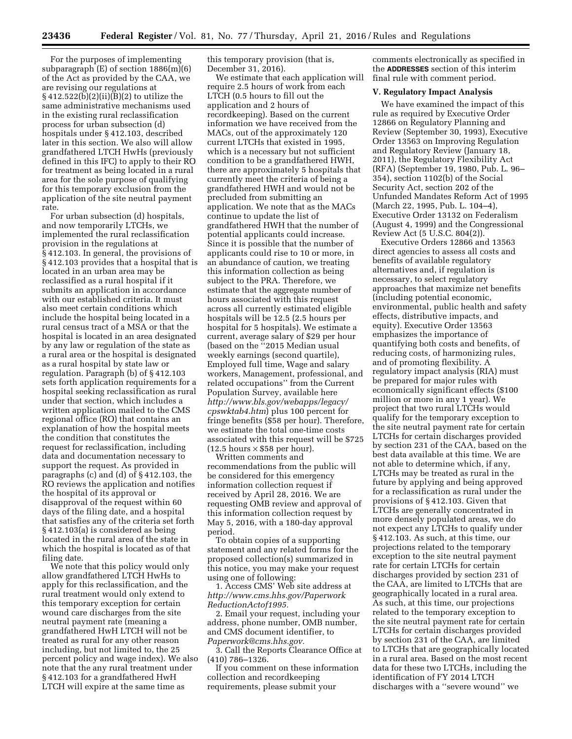For the purposes of implementing subparagraph (E) of section 1886(m)(6) of the Act as provided by the CAA, we are revising our regulations at  $\S 412.522(b)(2)(ii)(B)(2)$  to utilize the same administrative mechanisms used in the existing rural reclassification process for urban subsection (d) hospitals under § 412.103, described later in this section. We also will allow grandfathered LTCH HwHs (previously defined in this IFC) to apply to their RO for treatment as being located in a rural area for the sole purpose of qualifying for this temporary exclusion from the application of the site neutral payment rate.

For urban subsection (d) hospitals, and now temporarily LTCHs, we implemented the rural reclassification provision in the regulations at § 412.103. In general, the provisions of § 412.103 provides that a hospital that is located in an urban area may be reclassified as a rural hospital if it submits an application in accordance with our established criteria. It must also meet certain conditions which include the hospital being located in a rural census tract of a MSA or that the hospital is located in an area designated by any law or regulation of the state as a rural area or the hospital is designated as a rural hospital by state law or regulation. Paragraph (b) of § 412.103 sets forth application requirements for a hospital seeking reclassification as rural under that section, which includes a written application mailed to the CMS regional office (RO) that contains an explanation of how the hospital meets the condition that constitutes the request for reclassification, including data and documentation necessary to support the request. As provided in paragraphs (c) and (d) of § 412.103, the RO reviews the application and notifies the hospital of its approval or disapproval of the request within 60 days of the filing date, and a hospital that satisfies any of the criteria set forth § 412.103(a) is considered as being located in the rural area of the state in which the hospital is located as of that filing date.

We note that this policy would only allow grandfathered LTCH HwHs to apply for this reclassification, and the rural treatment would only extend to this temporary exception for certain wound care discharges from the site neutral payment rate (meaning a grandfathered HwH LTCH will not be treated as rural for any other reason including, but not limited to, the 25 percent policy and wage index). We also note that the any rural treatment under § 412.103 for a grandfathered HwH LTCH will expire at the same time as

this temporary provision (that is, December 31, 2016).

We estimate that each application will require 2.5 hours of work from each LTCH (0.5 hours to fill out the application and 2 hours of recordkeeping). Based on the current information we have received from the MACs, out of the approximately 120 current LTCHs that existed in 1995, which is a necessary but not sufficient condition to be a grandfathered HWH, there are approximately 5 hospitals that currently meet the criteria of being a grandfathered HWH and would not be precluded from submitting an application. We note that as the MACs continue to update the list of grandfathered HWH that the number of potential applicants could increase. Since it is possible that the number of applicants could rise to 10 or more, in an abundance of caution, we treating this information collection as being subject to the PRA. Therefore, we estimate that the aggregate number of hours associated with this request across all currently estimated eligible hospitals will be 12.5 (2.5 hours per hospital for 5 hospitals). We estimate a current, average salary of \$29 per hour (based on the ''2015 Median usual weekly earnings (second quartile), Employed full time, Wage and salary workers, Management, professional, and related occupations'' from the Current Population Survey, available here *[http://www.bls.gov/webapps/legacy/](http://www.bls.gov/webapps/legacy/cpswktab4.htm) [cpswktab4.htm](http://www.bls.gov/webapps/legacy/cpswktab4.htm)*) plus 100 percent for fringe benefits (\$58 per hour). Therefore, we estimate the total one-time costs associated with this request will be \$725  $(12.5 \text{ hours} \times $58 \text{ per hour}).$ 

Written comments and recommendations from the public will be considered for this emergency information collection request if received by April 28, 2016. We are requesting OMB review and approval of this information collection request by May 5, 2016, with a 180-day approval period.

To obtain copies of a supporting statement and any related forms for the proposed collection(s) summarized in this notice, you may make your request using one of following:

1. Access CMS' Web site address at *[http://www.cms.hhs.gov/Paperwork](http://www.cms.hhs.gov/PaperworkReductionActof1995) [ReductionActof1995.](http://www.cms.hhs.gov/PaperworkReductionActof1995)* 

2. Email your request, including your address, phone number, OMB number, and CMS document identifier, to *[Paperwork@cms.hhs.gov.](mailto:Paperwork@cms.hhs.gov)* 

3. Call the Reports Clearance Office at (410) 786–1326.

If you comment on these information collection and recordkeeping requirements, please submit your

comments electronically as specified in the **ADDRESSES** section of this interim final rule with comment period.

## **V. Regulatory Impact Analysis**

We have examined the impact of this rule as required by Executive Order 12866 on Regulatory Planning and Review (September 30, 1993), Executive Order 13563 on Improving Regulation and Regulatory Review (January 18, 2011), the Regulatory Flexibility Act (RFA) (September 19, 1980, Pub. L. 96– 354), section 1102(b) of the Social Security Act, section 202 of the Unfunded Mandates Reform Act of 1995 (March 22, 1995, Pub. L. 104–4), Executive Order 13132 on Federalism (August 4, 1999) and the Congressional Review Act (5 U.S.C. 804(2)).

Executive Orders 12866 and 13563 direct agencies to assess all costs and benefits of available regulatory alternatives and, if regulation is necessary, to select regulatory approaches that maximize net benefits (including potential economic, environmental, public health and safety effects, distributive impacts, and equity). Executive Order 13563 emphasizes the importance of quantifying both costs and benefits, of reducing costs, of harmonizing rules, and of promoting flexibility. A regulatory impact analysis (RIA) must be prepared for major rules with economically significant effects (\$100 million or more in any 1 year). We project that two rural LTCHs would qualify for the temporary exception to the site neutral payment rate for certain LTCHs for certain discharges provided by section 231 of the CAA, based on the best data available at this time. We are not able to determine which, if any, LTCHs may be treated as rural in the future by applying and being approved for a reclassification as rural under the provisions of § 412.103. Given that LTCHs are generally concentrated in more densely populated areas, we do not expect any LTCHs to qualify under § 412.103. As such, at this time, our projections related to the temporary exception to the site neutral payment rate for certain LTCHs for certain discharges provided by section 231 of the CAA, are limited to LTCHs that are geographically located in a rural area. As such, at this time, our projections related to the temporary exception to the site neutral payment rate for certain LTCHs for certain discharges provided by section 231 of the CAA, are limited to LTCHs that are geographically located in a rural area. Based on the most recent data for these two LTCHs, including the identification of FY 2014 LTCH discharges with a ''severe wound'' we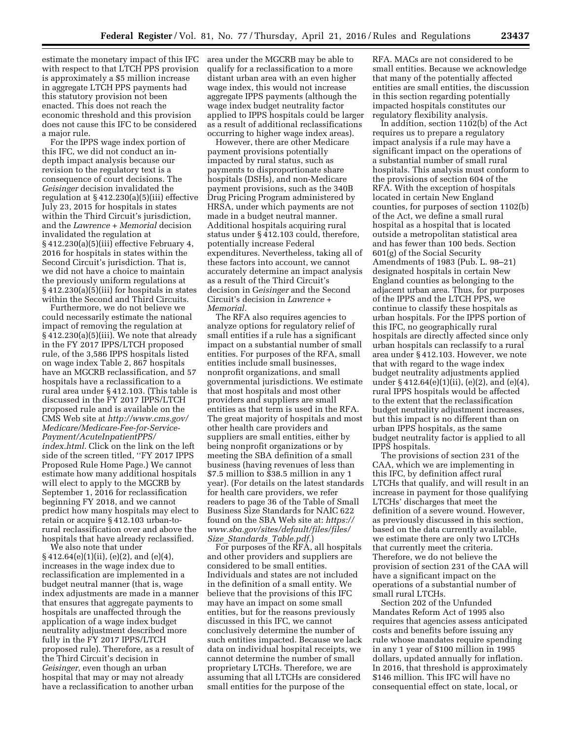estimate the monetary impact of this IFC with respect to that LTCH PPS provision is approximately a \$5 million increase in aggregate LTCH PPS payments had this statutory provision not been enacted. This does not reach the economic threshold and this provision does not cause this IFC to be considered a major rule.

For the IPPS wage index portion of this IFC, we did not conduct an indepth impact analysis because our revision to the regulatory text is a consequence of court decisions. The *Geisinger* decision invalidated the regulation at § 412.230(a)(5)(iii) effective July 23, 2015 for hospitals in states within the Third Circuit's jurisdiction, and the *Lawrence + Memorial* decision invalidated the regulation at § 412.230(a)(5)(iii) effective February 4, 2016 for hospitals in states within the Second Circuit's jurisdiction. That is, we did not have a choice to maintain the previously uniform regulations at § 412.230(a)(5)(iii) for hospitals in states within the Second and Third Circuits.

Furthermore, we do not believe we could necessarily estimate the national impact of removing the regulation at § 412.230(a)(5)(iii). We note that already in the FY 2017 IPPS/LTCH proposed rule, of the 3,586 IPPS hospitals listed on wage index Table 2, 867 hospitals have an MGCRB reclassification, and 57 hospitals have a reclassification to a rural area under § 412.103. (This table is discussed in the FY 2017 IPPS/LTCH proposed rule and is available on the CMS Web site at *[http://www.cms.gov/](http://www.cms.gov/Medicare/Medicare-Fee-for-Service-Payment/AcuteInpatientPPS/index.html) [Medicare/Medicare-Fee-for-Service-](http://www.cms.gov/Medicare/Medicare-Fee-for-Service-Payment/AcuteInpatientPPS/index.html)[Payment/AcuteInpatientPPS/](http://www.cms.gov/Medicare/Medicare-Fee-for-Service-Payment/AcuteInpatientPPS/index.html) [index.html.](http://www.cms.gov/Medicare/Medicare-Fee-for-Service-Payment/AcuteInpatientPPS/index.html)* Click on the link on the left side of the screen titled, ''FY 2017 IPPS Proposed Rule Home Page.) We cannot estimate how many additional hospitals will elect to apply to the MGCRB by September 1, 2016 for reclassification beginning FY 2018, and we cannot predict how many hospitals may elect to retain or acquire § 412.103 urban-torural reclassification over and above the hospitals that have already reclassified.

We also note that under  $\S 412.64(e)(1)(ii)$ , (e)(2), and (e)(4), increases in the wage index due to reclassification are implemented in a budget neutral manner (that is, wage index adjustments are made in a manner that ensures that aggregate payments to hospitals are unaffected through the application of a wage index budget neutrality adjustment described more fully in the FY 2017 IPPS/LTCH proposed rule). Therefore, as a result of the Third Circuit's decision in *Geisinger,* even though an urban hospital that may or may not already have a reclassification to another urban

area under the MGCRB may be able to qualify for a reclassification to a more distant urban area with an even higher wage index, this would not increase aggregate IPPS payments (although the wage index budget neutrality factor applied to IPPS hospitals could be larger as a result of additional reclassifications occurring to higher wage index areas).

However, there are other Medicare payment provisions potentially impacted by rural status, such as payments to disproportionate share hospitals (DSHs), and non-Medicare payment provisions, such as the 340B Drug Pricing Program administered by HRSA, under which payments are not made in a budget neutral manner. Additional hospitals acquiring rural status under § 412.103 could, therefore, potentially increase Federal expenditures. Nevertheless, taking all of these factors into account, we cannot accurately determine an impact analysis as a result of the Third Circuit's decision in G*eisinger* and the Second Circuit's decision in *Lawrence + Memorial.* 

The RFA also requires agencies to analyze options for regulatory relief of small entities if a rule has a significant impact on a substantial number of small entities. For purposes of the RFA, small entities include small businesses, nonprofit organizations, and small governmental jurisdictions. We estimate that most hospitals and most other providers and suppliers are small entities as that term is used in the RFA. The great majority of hospitals and most other health care providers and suppliers are small entities, either by being nonprofit organizations or by meeting the SBA definition of a small business (having revenues of less than \$7.5 million to \$38.5 million in any 1 year). (For details on the latest standards for health care providers, we refer readers to page 36 of the Table of Small Business Size Standards for NAIC 622 found on the SBA Web site at: *[https://](https://www.sba.gov/sites/default/files/files/Size_Standards_Table.pdf) [www.sba.gov/sites/default/files/files/](https://www.sba.gov/sites/default/files/files/Size_Standards_Table.pdf) Size*\_*[Standards](https://www.sba.gov/sites/default/files/files/Size_Standards_Table.pdf)*\_*Table.pdf.*)

For purposes of the RFA, all hospitals and other providers and suppliers are considered to be small entities. Individuals and states are not included in the definition of a small entity. We believe that the provisions of this IFC may have an impact on some small entities, but for the reasons previously discussed in this IFC, we cannot conclusively determine the number of such entities impacted. Because we lack data on individual hospital receipts, we cannot determine the number of small proprietary LTCHs. Therefore, we are assuming that all LTCHs are considered small entities for the purpose of the

RFA. MACs are not considered to be small entities. Because we acknowledge that many of the potentially affected entities are small entities, the discussion in this section regarding potentially impacted hospitals constitutes our regulatory flexibility analysis.

In addition, section 1102(b) of the Act requires us to prepare a regulatory impact analysis if a rule may have a significant impact on the operations of a substantial number of small rural hospitals. This analysis must conform to the provisions of section 604 of the RFA. With the exception of hospitals located in certain New England counties, for purposes of section 1102(b) of the Act, we define a small rural hospital as a hospital that is located outside a metropolitan statistical area and has fewer than 100 beds. Section 601(g) of the Social Security Amendments of 1983 (Pub. L. 98–21) designated hospitals in certain New England counties as belonging to the adjacent urban area. Thus, for purposes of the IPPS and the LTCH PPS, we continue to classify these hospitals as urban hospitals. For the IPPS portion of this IFC, no geographically rural hospitals are directly affected since only urban hospitals can reclassify to a rural area under § 412.103. However, we note that with regard to the wage index budget neutrality adjustments applied under § 412.64(e)(1)(ii), (e)(2), and (e)(4), rural IPPS hospitals would be affected to the extent that the reclassification budget neutrality adjustment increases, but this impact is no different than on urban IPPS hospitals, as the same budget neutrality factor is applied to all IPPS hospitals.

The provisions of section 231 of the CAA, which we are implementing in this IFC, by definition affect rural LTCHs that qualify, and will result in an increase in payment for those qualifying LTCHs' discharges that meet the definition of a severe wound. However, as previously discussed in this section, based on the data currently available, we estimate there are only two LTCHs that currently meet the criteria. Therefore, we do not believe the provision of section 231 of the CAA will have a significant impact on the operations of a substantial number of small rural LTCHs.

Section 202 of the Unfunded Mandates Reform Act of 1995 also requires that agencies assess anticipated costs and benefits before issuing any rule whose mandates require spending in any 1 year of \$100 million in 1995 dollars, updated annually for inflation. In 2016, that threshold is approximately \$146 million. This IFC will have no consequential effect on state, local, or